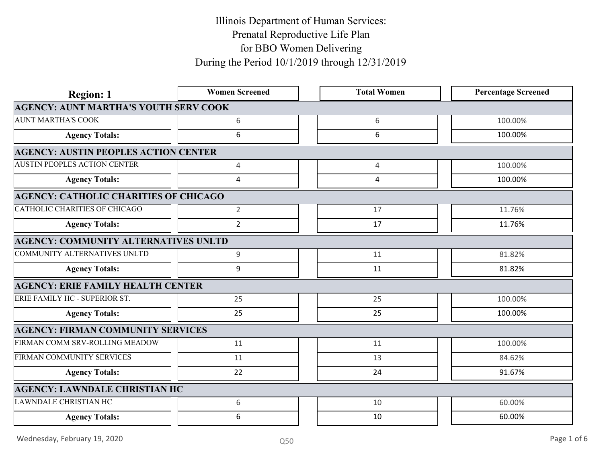| <b>Region: 1</b>                             | <b>Women Screened</b> | <b>Total Women</b> | <b>Percentage Screened</b> |
|----------------------------------------------|-----------------------|--------------------|----------------------------|
| <b>AGENCY: AUNT MARTHA'S YOUTH SERV COOK</b> |                       |                    |                            |
| <b>AUNT MARTHA'S COOK</b>                    | 6                     | 6                  | 100.00%                    |
| <b>Agency Totals:</b>                        | 6                     | 6                  | 100.00%                    |
| <b>AGENCY: AUSTIN PEOPLES ACTION CENTER</b>  |                       |                    |                            |
| <b>AUSTIN PEOPLES ACTION CENTER</b>          | $\overline{4}$        | $\overline{4}$     | 100.00%                    |
| <b>Agency Totals:</b>                        | $\overline{4}$        | $\overline{4}$     | 100.00%                    |
| <b>AGENCY: CATHOLIC CHARITIES OF CHICAGO</b> |                       |                    |                            |
| CATHOLIC CHARITIES OF CHICAGO                | $\overline{2}$        | 17                 | 11.76%                     |
| <b>Agency Totals:</b>                        | $\overline{2}$        | 17                 | 11.76%                     |
| <b>AGENCY: COMMUNITY ALTERNATIVES UNLTD</b>  |                       |                    |                            |
| COMMUNITY ALTERNATIVES UNLTD                 | 9                     | 11                 | 81.82%                     |
| <b>Agency Totals:</b>                        | 9                     | 11                 | 81.82%                     |
| <b>AGENCY: ERIE FAMILY HEALTH CENTER</b>     |                       |                    |                            |
| ERIE FAMILY HC - SUPERIOR ST.                | 25                    | 25                 | 100.00%                    |
| <b>Agency Totals:</b>                        | 25                    | 25                 | 100.00%                    |
| <b>AGENCY: FIRMAN COMMUNITY SERVICES</b>     |                       |                    |                            |
| FIRMAN COMM SRV-ROLLING MEADOW               | 11                    | 11                 | 100.00%                    |
| FIRMAN COMMUNITY SERVICES                    | 11                    | 13                 | 84.62%                     |
| <b>Agency Totals:</b>                        | 22                    | 24                 | 91.67%                     |
| <b>AGENCY: LAWNDALE CHRISTIAN HC</b>         |                       |                    |                            |
| <b>LAWNDALE CHRISTIAN HC</b>                 | 6                     | 10                 | 60.00%                     |
| <b>Agency Totals:</b>                        | 6                     | 10                 | 60.00%                     |
| Wednesday, February 19, 2020                 | Q50                   |                    | Page 1 of 6                |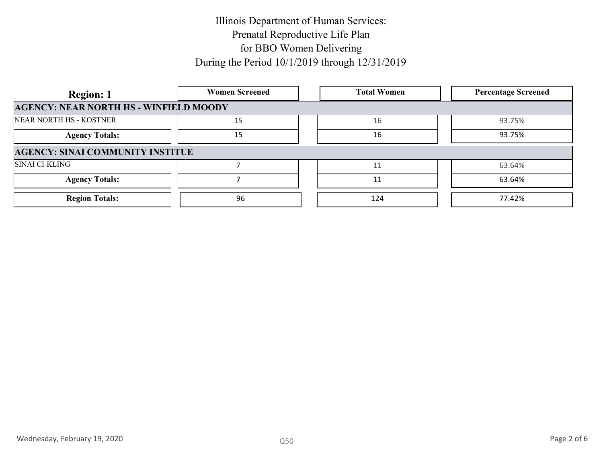| <b>Women Screened</b>                         | <b>Total Women</b> | <b>Percentage Screened</b> |
|-----------------------------------------------|--------------------|----------------------------|
| <b>AGENCY: NEAR NORTH HS - WINFIELD MOODY</b> |                    |                            |
|                                               | 16                 | 93.75%                     |
| 15                                            | 16                 | 93.75%                     |
| <b>AGENCY: SINAI COMMUNITY INSTITUE</b>       |                    |                            |
|                                               |                    | 63.64%                     |
|                                               | 11                 | 63.64%                     |
| 96                                            | 124                | 77.42%                     |
|                                               |                    |                            |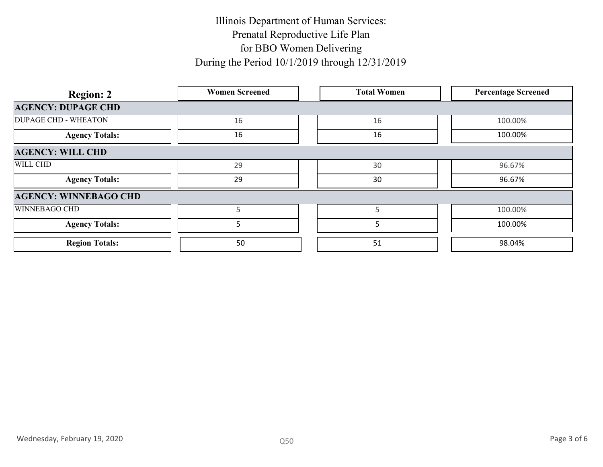| <b>Region: 2</b>             | <b>Women Screened</b> | <b>Total Women</b> | <b>Percentage Screened</b> |
|------------------------------|-----------------------|--------------------|----------------------------|
| <b>AGENCY: DUPAGE CHD</b>    |                       |                    |                            |
| <b>DUPAGE CHD - WHEATON</b>  | 16                    | 16                 | 100.00%                    |
| <b>Agency Totals:</b>        | 16                    | 16                 | 100.00%                    |
| <b>AGENCY: WILL CHD</b>      |                       |                    |                            |
| WILL CHD                     | 29                    | 30                 | 96.67%                     |
| <b>Agency Totals:</b>        | 29                    | 30                 | 96.67%                     |
| <b>AGENCY: WINNEBAGO CHD</b> |                       |                    |                            |
| WINNEBAGO CHD                | $5\phantom{.0}$       | $5\phantom{.0}$    | 100.00%                    |
| <b>Agency Totals:</b>        | $5\phantom{.}$        | 5                  | 100.00%                    |
| <b>Region Totals:</b>        | 50                    | 51                 | 98.04%                     |
|                              |                       |                    |                            |
|                              |                       |                    |                            |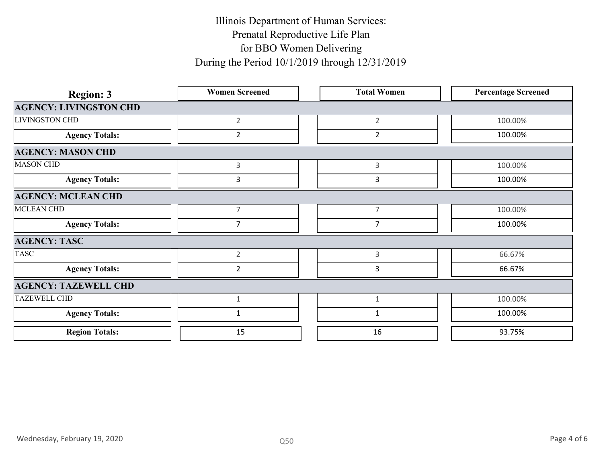| <b>Region: 3</b>              | <b>Women Screened</b> | <b>Total Women</b> | <b>Percentage Screened</b> |             |
|-------------------------------|-----------------------|--------------------|----------------------------|-------------|
| <b>AGENCY: LIVINGSTON CHD</b> |                       |                    |                            |             |
| <b>LIVINGSTON CHD</b>         | $2\overline{ }$       | $\overline{2}$     | 100.00%                    |             |
| <b>Agency Totals:</b>         | $\overline{2}$        | $\overline{2}$     | 100.00%                    |             |
| <b>AGENCY: MASON CHD</b>      |                       |                    |                            |             |
| <b>MASON CHD</b>              | $\mathbf{3}$          | $\mathsf{3}$       | 100.00%                    |             |
| <b>Agency Totals:</b>         | $\mathbf{3}$          | $\mathbf{3}$       | 100.00%                    |             |
| <b>AGENCY: MCLEAN CHD</b>     |                       |                    |                            |             |
| MCLEAN CHD                    | $\overline{7}$        | $\overline{7}$     | 100.00%                    |             |
| <b>Agency Totals:</b>         | $\overline{7}$        | $\overline{7}$     | 100.00%                    |             |
| <b>AGENCY: TASC</b>           |                       |                    |                            |             |
| <b>TASC</b>                   | $\overline{2}$        | $\mathsf 3$        | 66.67%                     |             |
| <b>Agency Totals:</b>         | $\overline{2}$        | $\overline{3}$     | 66.67%                     |             |
| <b>AGENCY: TAZEWELL CHD</b>   |                       |                    |                            |             |
| <b>TAZEWELL CHD</b>           | $\mathbf{1}$          | $\mathbf{1}$       | 100.00%                    |             |
| <b>Agency Totals:</b>         | $\mathbf{1}$          | $\mathbf{1}$       | 100.00%                    |             |
| <b>Region Totals:</b>         | 15                    | 16                 | 93.75%                     |             |
|                               |                       |                    |                            |             |
|                               |                       |                    |                            |             |
|                               |                       |                    |                            |             |
| Wednesday, February 19, 2020  | Q50                   |                    |                            | Page 4 of 6 |
|                               |                       |                    |                            |             |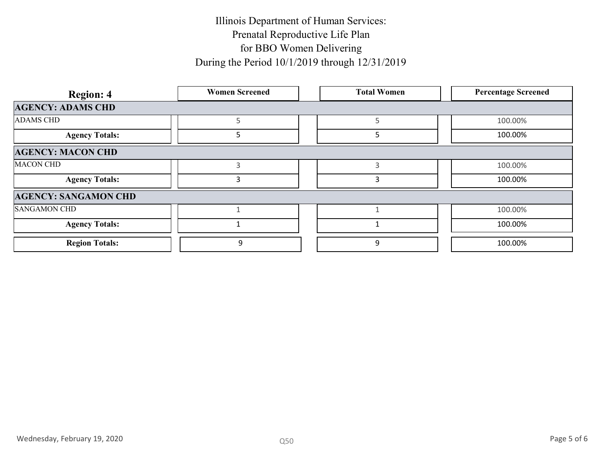| <b>Region: 4</b>            | <b>Women Screened</b> | <b>Total Women</b> | <b>Percentage Screened</b> |
|-----------------------------|-----------------------|--------------------|----------------------------|
| <b>AGENCY: ADAMS CHD</b>    |                       |                    |                            |
| <b>ADAMS CHD</b>            | $5\phantom{.}$        | 5                  | 100.00%                    |
| <b>Agency Totals:</b>       | $5\phantom{.0}$       | $\overline{5}$     | 100.00%                    |
| <b>AGENCY: MACON CHD</b>    |                       |                    |                            |
| <b>MACON CHD</b>            | $\mathsf{3}$          | $\mathbf{3}$       | 100.00%                    |
| <b>Agency Totals:</b>       | $\mathbf{3}$          | $\mathbf{3}$       | 100.00%                    |
| <b>AGENCY: SANGAMON CHD</b> |                       |                    |                            |
| <b>SANGAMON CHD</b>         | $\mathbf{1}$          | $\mathbf 1$        | 100.00%                    |
| <b>Agency Totals:</b>       | $\mathbf{1}$          | $\mathbf{1}$       | 100.00%                    |
| <b>Region Totals:</b>       | $\boldsymbol{9}$      | 9                  | 100.00%                    |
|                             |                       |                    |                            |
|                             |                       |                    |                            |